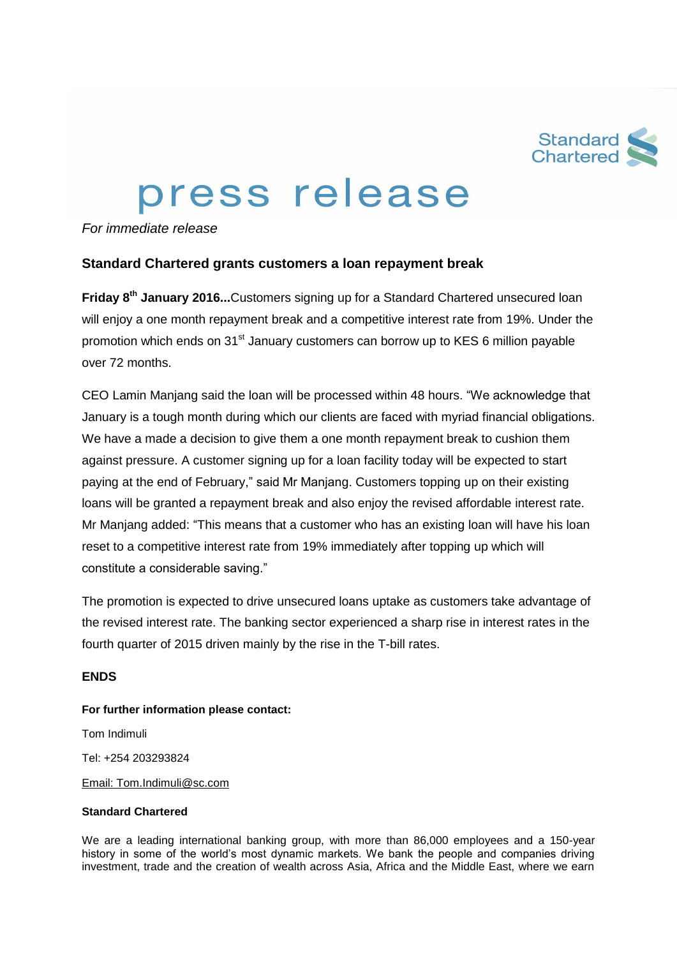

# press release

*For immediate release*

## **Standard Chartered grants customers a loan repayment break**

**Friday 8th January 2016...**Customers signing up for a Standard Chartered unsecured loan will enjoy a one month repayment break and a competitive interest rate from 19%. Under the promotion which ends on  $31<sup>st</sup>$  January customers can borrow up to KES 6 million payable over 72 months.

CEO Lamin Manjang said the loan will be processed within 48 hours. "We acknowledge that January is a tough month during which our clients are faced with myriad financial obligations. We have a made a decision to give them a one month repayment break to cushion them against pressure. A customer signing up for a loan facility today will be expected to start paying at the end of February," said Mr Manjang. Customers topping up on their existing loans will be granted a repayment break and also enjoy the revised affordable interest rate. Mr Manjang added: "This means that a customer who has an existing loan will have his loan reset to a competitive interest rate from 19% immediately after topping up which will constitute a considerable saving."

The promotion is expected to drive unsecured loans uptake as customers take advantage of the revised interest rate. The banking sector experienced a sharp rise in interest rates in the fourth quarter of 2015 driven mainly by the rise in the T-bill rates.

## **ENDS**

### **For further information please contact:**

Tom Indimuli

Tel: +254 203293824

Email: Tom.Indimuli@sc.com

### **Standard Chartered**

We are a leading international banking group, with more than 86,000 employees and a 150-year history in some of the world's most dynamic markets. We bank the people and companies driving investment, trade and the creation of wealth across Asia, Africa and the Middle East, where we earn